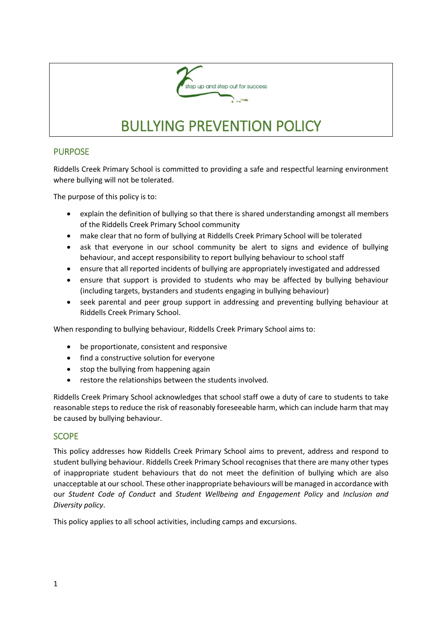

# BULLYING PREVENTION POLICY

## PURPOSE

Riddells Creek Primary School is committed to providing a safe and respectful learning environment where bullying will not be tolerated.

The purpose of this policy is to:

- explain the definition of bullying so that there is shared understanding amongst all members of the Riddells Creek Primary School community
- make clear that no form of bullying at Riddells Creek Primary School will be tolerated
- ask that everyone in our school community be alert to signs and evidence of bullying behaviour, and accept responsibility to report bullying behaviour to school staff
- ensure that all reported incidents of bullying are appropriately investigated and addressed
- ensure that support is provided to students who may be affected by bullying behaviour (including targets, bystanders and students engaging in bullying behaviour)
- seek parental and peer group support in addressing and preventing bullying behaviour at Riddells Creek Primary School.

When responding to bullying behaviour, Riddells Creek Primary School aims to:

- be proportionate, consistent and responsive
- find a constructive solution for everyone
- stop the bullying from happening again
- restore the relationships between the students involved.

Riddells Creek Primary School acknowledges that school staff owe a duty of care to students to take reasonable steps to reduce the risk of reasonably foreseeable harm, which can include harm that may be caused by bullying behaviour.

#### SCOPE

This policy addresses how Riddells Creek Primary School aims to prevent, address and respond to student bullying behaviour. Riddells Creek Primary School recognises that there are many other types of inappropriate student behaviours that do not meet the definition of bullying which are also unacceptable at our school. These other inappropriate behaviours will be managed in accordance with our *Student Code of Conduct* and *Student Wellbeing and Engagement Policy* and *Inclusion and Diversity policy*.

This policy applies to all school activities, including camps and excursions.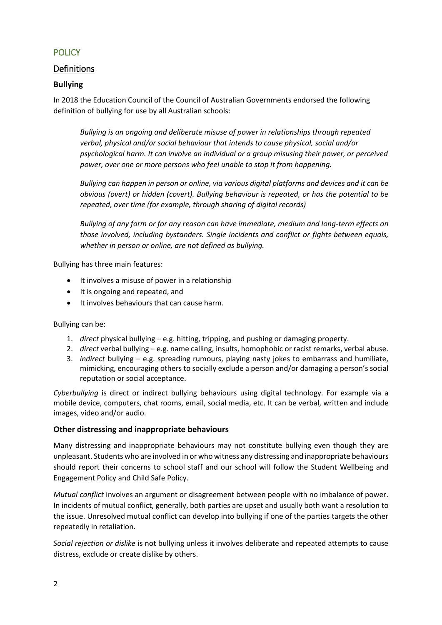# **POLICY**

# Definitions

## **Bullying**

In 2018 the Education Council of the Council of Australian Governments endorsed the following definition of bullying for use by all Australian schools:

*Bullying is an ongoing and deliberate misuse of power in relationships through repeated verbal, physical and/or social behaviour that intends to cause physical, social and/or psychological harm. It can involve an individual or a group misusing their power, or perceived power, over one or more persons who feel unable to stop it from happening.*

*Bullying can happen in person or online, via various digital platforms and devices and it can be obvious (overt) or hidden (covert). Bullying behaviour is repeated, or has the potential to be repeated, over time (for example, through sharing of digital records)*

*Bullying of any form or for any reason can have immediate, medium and long-term effects on those involved, including bystanders. Single incidents and conflict or fights between equals, whether in person or online, are not defined as bullying.*

Bullying has three main features:

- It involves a misuse of power in a relationship
- It is ongoing and repeated, and
- It involves behaviours that can cause harm.

Bullying can be:

- 1. *direct* physical bullying e.g. hitting, tripping, and pushing or damaging property.
- 2. *direct* verbal bullying e.g. name calling, insults, homophobic or racist remarks, verbal abuse.
- 3. *indirect* bullying e.g. spreading rumours, playing nasty jokes to embarrass and humiliate, mimicking, encouraging others to socially exclude a person and/or damaging a person's social reputation or social acceptance.

*Cyberbullying* is direct or indirect bullying behaviours using digital technology. For example via a mobile device, computers, chat rooms, email, social media, etc. It can be verbal, written and include images, video and/or audio.

#### **Other distressing and inappropriate behaviours**

Many distressing and inappropriate behaviours may not constitute bullying even though they are unpleasant. Students who are involved in or who witness any distressing and inappropriate behaviours should report their concerns to school staff and our school will follow the Student Wellbeing and Engagement Policy and Child Safe Policy.

*Mutual conflict* involves an argument or disagreement between people with no imbalance of power. In incidents of mutual conflict, generally, both parties are upset and usually both want a resolution to the issue. Unresolved mutual conflict can develop into bullying if one of the parties targets the other repeatedly in retaliation.

*Social rejection or dislike* is not bullying unless it involves deliberate and repeated attempts to cause distress, exclude or create dislike by others.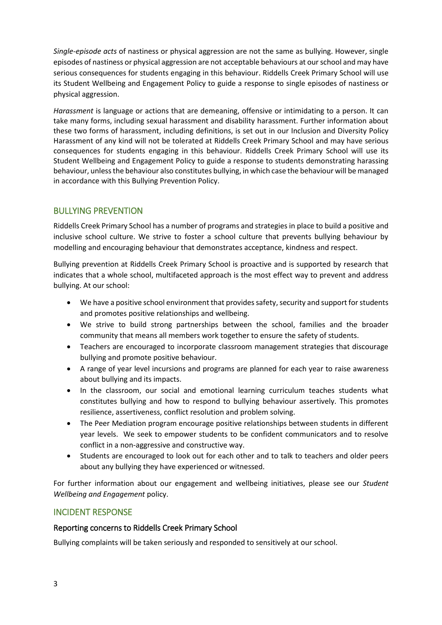*Single-episode acts* of nastiness or physical aggression are not the same as bullying. However, single episodes of nastiness or physical aggression are not acceptable behaviours at our school and may have serious consequences for students engaging in this behaviour. Riddells Creek Primary School will use its Student Wellbeing and Engagement Policy to guide a response to single episodes of nastiness or physical aggression.

*Harassment* is language or actions that are demeaning, offensive or intimidating to a person. It can take many forms, including sexual harassment and disability harassment. Further information about these two forms of harassment, including definitions, is set out in our Inclusion and Diversity Policy Harassment of any kind will not be tolerated at Riddells Creek Primary School and may have serious consequences for students engaging in this behaviour. Riddells Creek Primary School will use its Student Wellbeing and Engagement Policy to guide a response to students demonstrating harassing behaviour, unless the behaviour also constitutes bullying, in which case the behaviour will be managed in accordance with this Bullying Prevention Policy.

# BULLYING PREVENTION

Riddells Creek Primary School has a number of programs and strategies in place to build a positive and inclusive school culture. We strive to foster a school culture that prevents bullying behaviour by modelling and encouraging behaviour that demonstrates acceptance, kindness and respect.

Bullying prevention at Riddells Creek Primary School is proactive and is supported by research that indicates that a whole school, multifaceted approach is the most effect way to prevent and address bullying. At our school:

- We have a positive school environment that provides safety, security and support for students and promotes positive relationships and wellbeing.
- We strive to build strong partnerships between the school, families and the broader community that means all members work together to ensure the safety of students.
- Teachers are encouraged to incorporate classroom management strategies that discourage bullying and promote positive behaviour.
- A range of year level incursions and programs are planned for each year to raise awareness about bullying and its impacts.
- In the classroom, our social and emotional learning curriculum teaches students what constitutes bullying and how to respond to bullying behaviour assertively. This promotes resilience, assertiveness, conflict resolution and problem solving.
- The Peer Mediation program encourage positive relationships between students in different year levels. We seek to empower students to be confident communicators and to resolve conflict in a non-aggressive and constructive way.
- Students are encouraged to look out for each other and to talk to teachers and older peers about any bullying they have experienced or witnessed.

For further information about our engagement and wellbeing initiatives, please see our *Student Wellbeing and Engagement* policy.

## INCIDENT RESPONSE

#### Reporting concerns to Riddells Creek Primary School

Bullying complaints will be taken seriously and responded to sensitively at our school.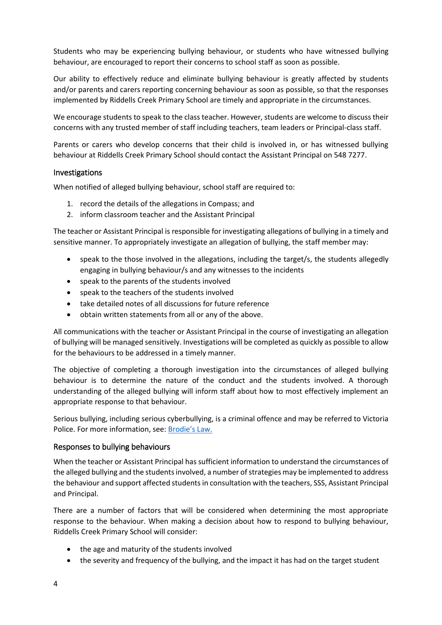Students who may be experiencing bullying behaviour, or students who have witnessed bullying behaviour, are encouraged to report their concerns to school staff as soon as possible.

Our ability to effectively reduce and eliminate bullying behaviour is greatly affected by students and/or parents and carers reporting concerning behaviour as soon as possible, so that the responses implemented by Riddells Creek Primary School are timely and appropriate in the circumstances.

We encourage students to speak to the class teacher. However, students are welcome to discuss their concerns with any trusted member of staff including teachers, team leaders or Principal-class staff.

Parents or carers who develop concerns that their child is involved in, or has witnessed bullying behaviour at Riddells Creek Primary School should contact the Assistant Principal on 548 7277.

#### Investigations

When notified of alleged bullying behaviour, school staff are required to:

- 1. record the details of the allegations in Compass; and
- 2. inform classroom teacher and the Assistant Principal

The teacher or Assistant Principal is responsible for investigating allegations of bullying in a timely and sensitive manner. To appropriately investigate an allegation of bullying, the staff member may:

- speak to the those involved in the allegations, including the target/s, the students allegedly engaging in bullying behaviour/s and any witnesses to the incidents
- speak to the parents of the students involved
- speak to the teachers of the students involved
- take detailed notes of all discussions for future reference
- obtain written statements from all or any of the above.

All communications with the teacher or Assistant Principal in the course of investigating an allegation of bullying will be managed sensitively. Investigations will be completed as quickly as possible to allow for the behaviours to be addressed in a timely manner.

The objective of completing a thorough investigation into the circumstances of alleged bullying behaviour is to determine the nature of the conduct and the students involved. A thorough understanding of the alleged bullying will inform staff about how to most effectively implement an appropriate response to that behaviour.

Serious bullying, including serious cyberbullying, is a criminal offence and may be referred to Victoria Police. For more information, see: [Brodie's Law.](http://www.education.vic.gov.au/about/programs/bullystoppers/Pages/advicesheetbrodieslaw.aspx)

#### Responses to bullying behaviours

When the teacher or Assistant Principal has sufficient information to understand the circumstances of the alleged bullying and the students involved, a number of strategies may be implemented to address the behaviour and support affected students in consultation with the teachers, SSS, Assistant Principal and Principal.

There are a number of factors that will be considered when determining the most appropriate response to the behaviour. When making a decision about how to respond to bullying behaviour, Riddells Creek Primary School will consider:

- the age and maturity of the students involved
- the severity and frequency of the bullying, and the impact it has had on the target student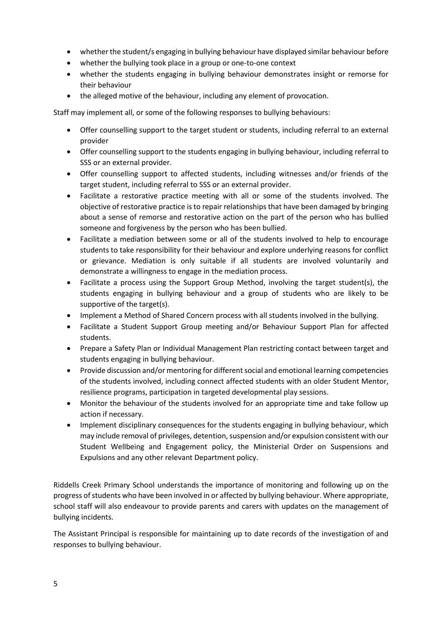- whether the student/s engaging in bullying behaviour have displayed similar behaviour before
- whether the bullying took place in a group or one-to-one context
- whether the students engaging in bullying behaviour demonstrates insight or remorse for their behaviour
- the alleged motive of the behaviour, including any element of provocation.

Staff may implement all, or some of the following responses to bullying behaviours:

- Offer counselling support to the target student or students, including referral to an external provider
- Offer counselling support to the students engaging in bullying behaviour, including referral to SSS or an external provider.
- Offer counselling support to affected students, including witnesses and/or friends of the target student, including referral to SSS or an external provider.
- Facilitate a restorative practice meeting with all or some of the students involved. The objective of restorative practice is to repair relationships that have been damaged by bringing about a sense of remorse and restorative action on the part of the person who has bullied someone and forgiveness by the person who has been bullied.
- Facilitate a mediation between some or all of the students involved to help to encourage students to take responsibility for their behaviour and explore underlying reasons for conflict or grievance. Mediation is only suitable if all students are involved voluntarily and demonstrate a willingness to engage in the mediation process.
- Facilitate a process using the Support Group Method, involving the target student(s), the students engaging in bullying behaviour and a group of students who are likely to be supportive of the target(s).
- Implement a Method of Shared Concern process with all students involved in the bullying.
- Facilitate a Student Support Group meeting and/or Behaviour Support Plan for affected students.
- Prepare a Safety Plan or Individual Management Plan restricting contact between target and students engaging in bullying behaviour.
- Provide discussion and/or mentoring for different social and emotional learning competencies of the students involved, including connect affected students with an older Student Mentor, resilience programs, participation in targeted developmental play sessions.
- Monitor the behaviour of the students involved for an appropriate time and take follow up action if necessary.
- Implement disciplinary consequences for the students engaging in bullying behaviour, which may include removal of privileges, detention, suspension and/or expulsion consistent with our Student Wellbeing and Engagement policy, the Ministerial Order on Suspensions and Expulsions and any other relevant Department policy.

Riddells Creek Primary School understands the importance of monitoring and following up on the progress of students who have been involved in or affected by bullying behaviour. Where appropriate, school staff will also endeavour to provide parents and carers with updates on the management of bullying incidents.

The Assistant Principal is responsible for maintaining up to date records of the investigation of and responses to bullying behaviour.